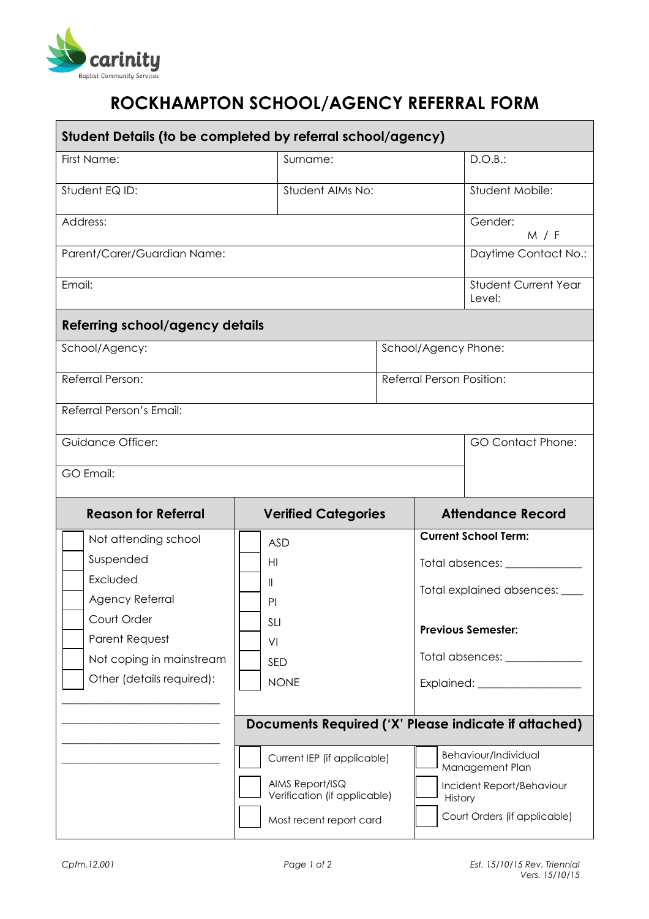

## ROCKHAMPTON SCHOOL/AGENCY REFERRAL FORM

| Student Details (to be completed by referral school/agency) |                            |                                                 |                           |                                      |                                                      |  |
|-------------------------------------------------------------|----------------------------|-------------------------------------------------|---------------------------|--------------------------------------|------------------------------------------------------|--|
| First Name:                                                 |                            | Surname:                                        |                           | D.O.B.:                              |                                                      |  |
| Student EQ ID:                                              | Student AIMs No:           |                                                 | Student Mobile:           |                                      |                                                      |  |
| Address:                                                    |                            |                                                 |                           |                                      | Gender:<br>M / F                                     |  |
| Parent/Carer/Guardian Name:                                 |                            |                                                 |                           |                                      | Daytime Contact No.:                                 |  |
| Email:                                                      |                            |                                                 |                           |                                      | <b>Student Current Year</b><br>Level:                |  |
| Referring school/agency details                             |                            |                                                 |                           |                                      |                                                      |  |
| School/Agency:                                              |                            |                                                 | School/Agency Phone:      |                                      |                                                      |  |
| Referral Person:                                            |                            |                                                 | Referral Person Position: |                                      |                                                      |  |
| Referral Person's Email:                                    |                            |                                                 |                           |                                      |                                                      |  |
| <b>Guidance Officer:</b>                                    |                            |                                                 |                           |                                      | <b>GO Contact Phone:</b>                             |  |
| GO Email:                                                   |                            |                                                 |                           |                                      |                                                      |  |
| <b>Reason for Referral</b>                                  | <b>Verified Categories</b> |                                                 |                           | <b>Attendance Record</b>             |                                                      |  |
| Not attending school                                        |                            | <b>ASD</b>                                      |                           |                                      | <b>Current School Term:</b>                          |  |
| Suspended                                                   | HI                         |                                                 |                           | Total absences: ____________         |                                                      |  |
| Excluded                                                    | Ш                          |                                                 |                           | Total explained absences: ____       |                                                      |  |
| Agency Referral                                             |                            | PI                                              |                           |                                      |                                                      |  |
| Court Order                                                 | <b>SLI</b>                 |                                                 |                           | <b>Previous Semester:</b>            |                                                      |  |
| Parent Request                                              | VI                         |                                                 |                           |                                      |                                                      |  |
| Not coping in mainstream                                    | SED                        |                                                 |                           | Total absences: _____________        |                                                      |  |
| Other (details required):                                   |                            | <b>NONE</b>                                     |                           |                                      |                                                      |  |
|                                                             |                            |                                                 |                           |                                      | Documents Required ('X' Please indicate if attached) |  |
|                                                             |                            | Current IEP (if applicable)                     |                           |                                      | Behaviour/Individual<br>Management Plan              |  |
|                                                             |                            | AIMS Report/ISQ<br>Verification (if applicable) |                           | Incident Report/Behaviour<br>History |                                                      |  |
|                                                             |                            |                                                 |                           |                                      |                                                      |  |